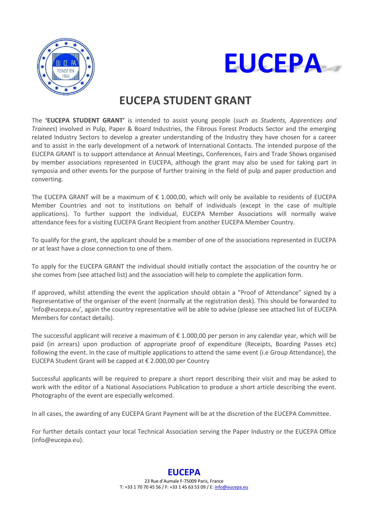



# **EUCEPA STUDENT GRANT**

The **'EUCEPA STUDENT GRANT'** is intended to assist young people (*such as Students, Apprentices and Trainees*) involved in Pulp, Paper & Board Industries, the Fibrous Forest Products Sector and the emerging related Industry Sectors to develop a greater understanding of the Industry they have chosen for a career and to assist in the early development of a network of International Contacts. The intended purpose of the EUCEPA GRANT is to support attendance at Annual Meetings, Conferences, Fairs and Trade Shows organised by member associations represented in EUCEPA, although the grant may also be used for taking part in symposia and other events for the purpose of further training in the field of pulp and paper production and converting.

The EUCEPA GRANT will be a maximum of € 1.000,00, which will only be available to residents of EUCEPA Member Countries and not to institutions on behalf of individuals (except in the case of multiple applications). To further support the individual, EUCEPA Member Associations will normally waive attendance fees for a visiting EUCEPA Grant Recipient from another EUCEPA Member Country.

To qualify for the grant, the applicant should be a member of one of the associations represented in EUCEPA or at least have a close connection to one of them.

To apply for the EUCEPA GRANT the individual should initially contact the association of the country he or she comes from (see attached list) and the association will help to complete the application form.

If approved, whilst attending the event the application should obtain a "Proof of Attendance" signed by a Representative of the organiser of the event (normally at the registration desk). This should be forwarded to '[info@e](mailto:eucepa@yahoo.fr)uce[pa.eu](mailto:eucepa@yahoo.fr)', again the country representative will be able to advise (please see attached list of EUCEPA Members for contact details).

The successful applicant will receive a maximum of € 1.000,00 per person in any calendar year, which will be paid (in arrears) upon production of appropriate proof of expenditure (Receipts, Boarding Passes etc) following the event. In the case of multiple applications to attend the same event (i.e Group Attendance), the EUCEPA Student Grant will be capped at € 2.000,00 per Country

Successful applicants will be required to prepare a short report describing their visit and may be asked to work with the editor of a National Associations Publication to produce a short article describing the event. Photographs of the event are especially welcomed.

In all cases, the awarding of any EUCEPA Grant Payment will be at the discretion of the EUCEPA Committee.

For further details contact your local Technical Association serving the Paper Industry or the EUCEPA Office (info@eucepa.eu).

### **EUCEPA**

23 Rue d'Aumale F‐75009 Paris, France T: +33 1 70 70 45 56 / F: +33 1 45 63 53 09 / E[: info@eucepa.eu](mailto:info@eucepa.eu)